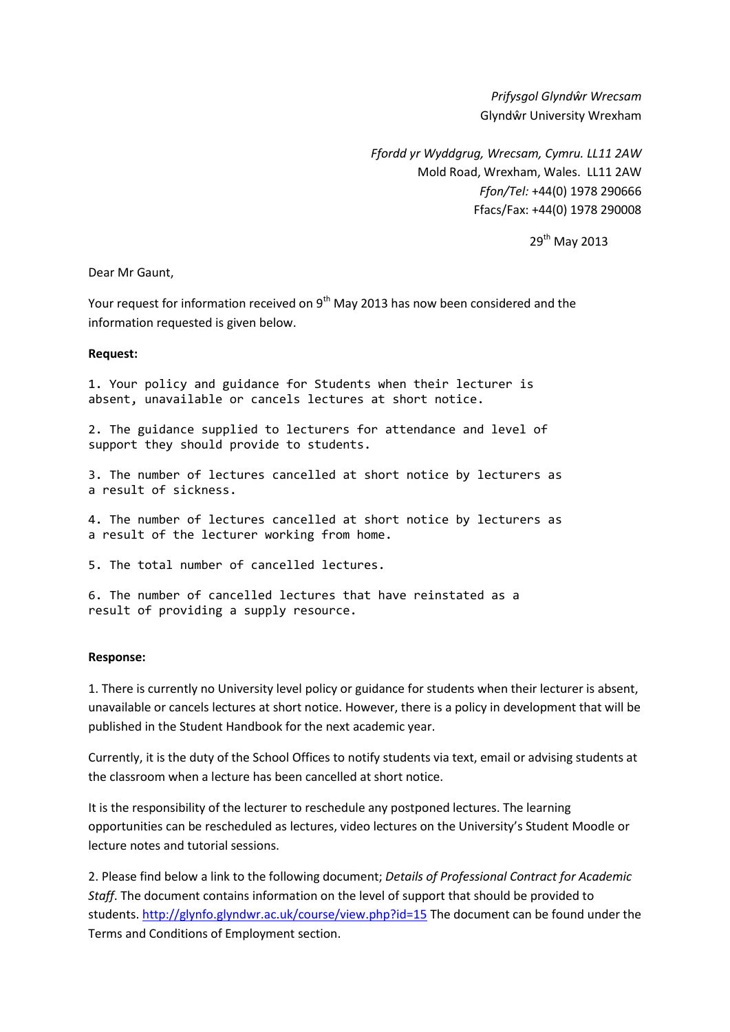*Prifysgol Glyndŵr Wrecsam* Glyndŵr University Wrexham

*Ffordd yr Wyddgrug, Wrecsam, Cymru. LL11 2AW* Mold Road, Wrexham, Wales. LL11 2AW *Ffon/Tel:* +44(0) 1978 290666 Ffacs/Fax: +44(0) 1978 290008

29<sup>th</sup> May 2013

Dear Mr Gaunt,

Your request for information received on  $9<sup>th</sup>$  May 2013 has now been considered and the information requested is given below.

## **Request:**

1. Your policy and guidance for Students when their lecturer is absent, unavailable or cancels lectures at short notice.

2. The guidance supplied to lecturers for attendance and level of support they should provide to students.

3. The number of lectures cancelled at short notice by lecturers as a result of sickness.

4. The number of lectures cancelled at short notice by lecturers as a result of the lecturer working from home.

5. The total number of cancelled lectures.

6. The number of cancelled lectures that have reinstated as a result of providing a supply resource.

## **Response:**

1. There is currently no University level policy or guidance for students when their lecturer is absent, unavailable or cancels lectures at short notice. However, there is a policy in development that will be published in the Student Handbook for the next academic year.

Currently, it is the duty of the School Offices to notify students via text, email or advising students at the classroom when a lecture has been cancelled at short notice.

It is the responsibility of the lecturer to reschedule any postponed lectures. The learning opportunities can be rescheduled as lectures, video lectures on the University's Student Moodle or lecture notes and tutorial sessions.

2. Please find below a link to the following document; *Details of Professional Contract for Academic Staff*. The document contains information on the level of support that should be provided to students. <http://glynfo.glyndwr.ac.uk/course/view.php?id=15> The document can be found under the Terms and Conditions of Employment section.